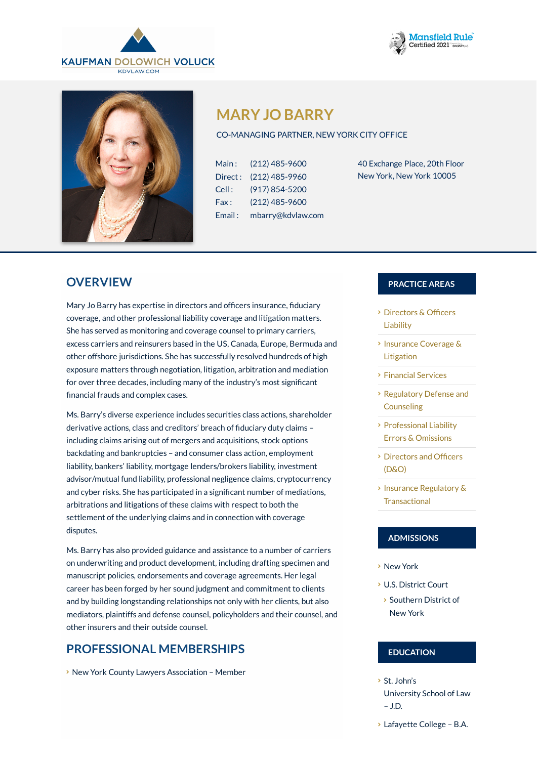





# **MARY JO BARRY**

#### CO-MANAGING PARTNER, NEW YORK CITY OFFICE

| Main:   | (212) 485-9600    |
|---------|-------------------|
| Direct: | (212) 485-9960    |
| Cell:   | (917) 854-5200    |
| Fax:    | (212) 485-9600    |
| Email:  | mbarry@kdvlaw.com |

40 Exchange Place, 20th Floor New York, New York 10005

### **OVERVIEW**

Mary Jo Barry has expertise in directors and officers insurance, fiduciary coverage, and other professional liability coverage and litigation matters. She has served as monitoring and coverage counsel to primary carriers, excess carriers and reinsurers based in the US, Canada, Europe, Bermuda and other offshore jurisdictions. She has successfully resolved hundreds of high exposure matters through negotiation, litigation, arbitration and mediation for over three decades, including many of the industry's most significant financial frauds and complex cases.

Ms. Barry's diverse experience includes securities class actions, shareholder derivative actions, class and creditors' breach of fiduciary duty claims including claims arising out of mergers and acquisitions, stock options backdating and bankruptcies – and consumer class action, employment liability, bankers' liability, mortgage lenders/brokers liability, investment advisor/mutual fund liability, professional negligence claims, cryptocurrency and cyber risks. She has participated in a significant number of mediations, arbitrations and litigations of these claims with respect to both the settlement of the underlying claims and in connection with coverage disputes.

Ms. Barry has also provided guidance and assistance to a number of carriers on underwriting and product development, including drafting specimen and manuscript policies, endorsements and coverage agreements. Her legal career has been forged by her sound judgment and commitment to clients and by building longstanding relationships not only with her clients, but also mediators, plaintiffs and defense counsel, policyholders and their counsel, and other insurers and their outside counsel.

### **PROFESSIONAL MEMBERSHIPS**

**> New York County Lawyers Association - Member** 

#### **PRACTICE AREAS**

- $\triangleright$  [Directors](https://www.kdvlaw.com/practice-areas/directors-officers-liability/) & Officers Liability
- **Insurance [Coverage](https://www.kdvlaw.com/practice-areas/insurance-coverage-litigation/) &** Litigation
- [Financial](https://www.kdvlaw.com/practice-areas/financial-services/) Services
- [Regulatory](https://www.kdvlaw.com/practice-areas/financial-services/regulatory-defense-and-counseling/) Defense and **Counseling**
- [Professional](https://www.kdvlaw.com/practice-areas/insurance-coverage-litigation/professional-liability-errors-omissions/) Liability Errors & Omissions
- $\rightarrow$  [Directors](https://www.kdvlaw.com/practice-areas/commercial-litigation/directors-and-officers/) and Officers (D&O)
- $\overline{\phantom{a}}$  Insurance Regulatory & **[Transactional](https://www.kdvlaw.com/practice-areas/insurance-regulatory-transactional/)**

### **ADMISSIONS**

- New York
- U.S. District Court
- $\rightarrow$  Southern District of New York

#### **EDUCATION**

- St. John's
- University School of Law – J.D.
- Lafayette College B.A.